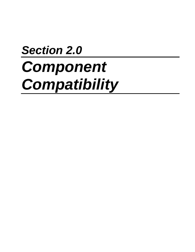# *Section 2.0 Component Compatibility*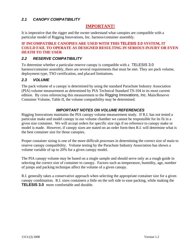# *2.1 CANOPY COMPATIBILITY*

# **IMPORTANT!**

It is imperative that the rigger and the owner understand what canopies are compatible with a particular model of Rigging Innovations, Inc. harness/container assembly.

#### **IF INCOMPATIBLE CANOPIES ARE USED WITH THIS TELESIS 3.0 SYSTEM, IT COULD FAIL TO OPERATE AS DESIGNED RESULTING IN SERIOUS INJURY OR EVEN DEATH TO THE USER**

## *2.2 RESERVE COMPATIBILITY*

To determine whether a particular reserve canopy is compatible with a TELESIS 3.0 harness/container assembly, there are several requirements that must be met. They are pack volume, deployment type, TSO certification, and placard limitations.

## *2.3 VOLUME*

The pack volume of a canopy is determined by using the standard Parachute Industry Association (PIA) volume measurement as determined by PIA Technical Standard TS-104 in its most current edition. By cross referencing this measurement to the Rigging Innovations, Inc. Main/Reserve Container Volume, Table II, the volume compatibility may be determined.

## *IMPORTANT NOTES ON VOLUME REFERENCES*

Rigging Innovations maintains the PIA canopy volume measurement study. If R.I. has not tested a particular make and model canopy in our volume chamber we cannot be responsible for its fit in a given size container. We will accept orders for specific size rigs if no reference to canopy make or model is made. However, if canopy sizes are stated on an order form then R.I. will determine what is the best container size for those canopies.

Proper container sizing is one of the more difficult processes in determining the correct size of main to reserve canopy compatibility. Volume testing by the Parachute Industry Association has shown a volume variable of up to 20% for a given canopy model.

The PIA canopy volume may be based on a single sample and should serve only as a rough guide in selecting the correct size of container to canopy. Factors such as temperature, humidity, age, number of jumps and packing technique affect the volume of a given canopy.

R.I. generally takes a conservative approach when selecting the appropriate container size for a given canopy combination. R.I. sizes containers a little on the soft side to ease packing, while making the **TELESIS 3.0** more comfortable and durable.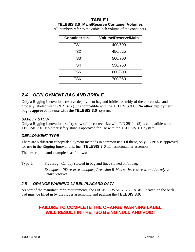#### **TABLE II TELESIS 3.0 Main/Reserve Container Volumes**

All numbers refer to the cubic inch volume of the containers.

| <b>Container size</b> | <b>Volume/Reserve/Main</b> |
|-----------------------|----------------------------|
| TS <sub>1</sub>       | 400/500                    |
| TS <sub>2</sub>       | 450/625                    |
| TS <sub>3</sub>       | 500/700                    |
| TS4                   | 550/750                    |
| TS <sub>5</sub>       | 600/800                    |
| TS <sub>6</sub>       | 700/950                    |

# *2.4 DEPLOYMENT BAG AND BRIDLE*

Only a Rigging Innovations reserve deployment bag and bridle assembly of the correct size and properly labeled with P/N 2132 - ( ) is compatible with the **TELESIS 3.0**. **No other deployment bag is approved for use with the TELESIS 3.0 system.** 

## *SAFETY STOW*

Only a Rigging Innovations safety stow of the correct size with P/N 2911 - (3) is compatible with the TELESIS 3.0. No other safety stow is approved for use with the TELESIS 3.0 system.

# *DEPLOYMENT TYPE*

There are 5 different canopy deployment methods in common use. Of these, only TYPE 5 is approved for use in the Rigging Innovations, Inc., **TELESIS 3.0** harness/container assembly.

The description and example is as follows:

Type 5: Free Bag: Canopy stowed in bag and lines stowed on/in bag.

*Examples: PD reserve canopies, Precision R-Max series reserves, and Aerodyne Smart reserves.*

# *2.5 ORANGE WARNING LABEL PLACARD DATA*

As part of the manufacturer's requirements, the ORANGE WARNING LABEL located on the back pad must be filled in by the rigger assembling and packing the **TELESIS 3.0.**

# **FAILURE TO COMPLETE THE ORANGE WARNING LABEL WILL RESULT IN THE TSO BEING NULL AND VOID!**